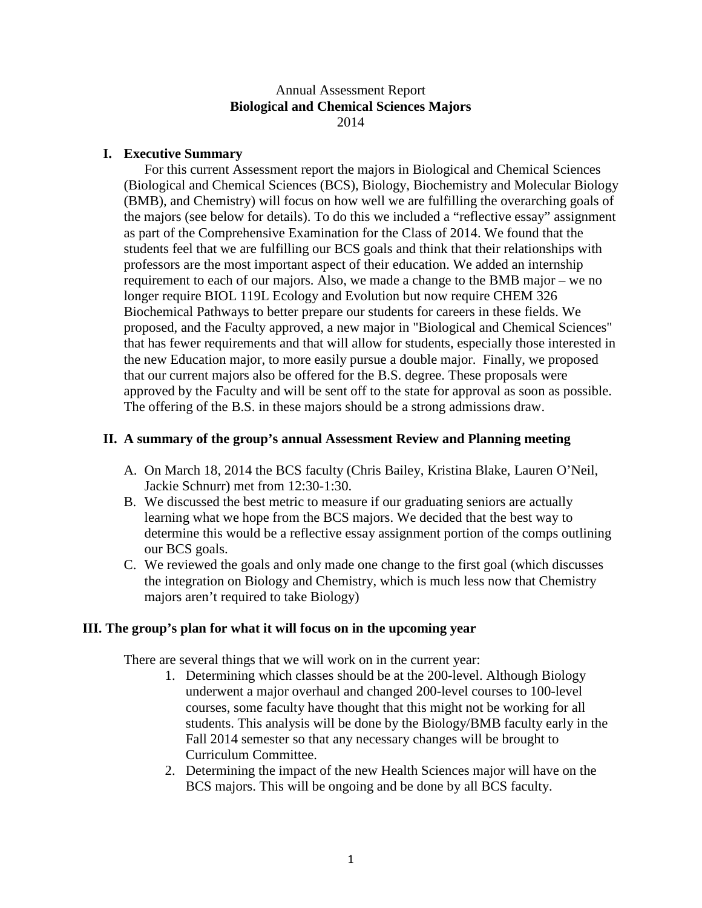Annual Assessment Report **Biological and Chemical Sciences Majors** 2014

## **I. Executive Summary**

For this current Assessment report the majors in Biological and Chemical Sciences (Biological and Chemical Sciences (BCS), Biology, Biochemistry and Molecular Biology (BMB), and Chemistry) will focus on how well we are fulfilling the overarching goals of the majors (see below for details). To do this we included a "reflective essay" assignment as part of the Comprehensive Examination for the Class of 2014. We found that the students feel that we are fulfilling our BCS goals and think that their relationships with professors are the most important aspect of their education. We added an internship requirement to each of our majors. Also, we made a change to the BMB major – we no longer require BIOL 119L Ecology and Evolution but now require CHEM 326 Biochemical Pathways to better prepare our students for careers in these fields. We proposed, and the Faculty approved, a new major in "Biological and Chemical Sciences" that has fewer requirements and that will allow for students, especially those interested in the new Education major, to more easily pursue a double major. Finally, we proposed that our current majors also be offered for the B.S. degree. These proposals were approved by the Faculty and will be sent off to the state for approval as soon as possible. The offering of the B.S. in these majors should be a strong admissions draw.

# **II. A summary of the group's annual Assessment Review and Planning meeting**

- A. On March 18, 2014 the BCS faculty (Chris Bailey, Kristina Blake, Lauren O'Neil, Jackie Schnurr) met from 12:30-1:30.
- B. We discussed the best metric to measure if our graduating seniors are actually learning what we hope from the BCS majors. We decided that the best way to determine this would be a reflective essay assignment portion of the comps outlining our BCS goals.
- C. We reviewed the goals and only made one change to the first goal (which discusses the integration on Biology and Chemistry, which is much less now that Chemistry majors aren't required to take Biology)

# **III. The group's plan for what it will focus on in the upcoming year**

There are several things that we will work on in the current year:

- 1. Determining which classes should be at the 200-level. Although Biology underwent a major overhaul and changed 200-level courses to 100-level courses, some faculty have thought that this might not be working for all students. This analysis will be done by the Biology/BMB faculty early in the Fall 2014 semester so that any necessary changes will be brought to Curriculum Committee.
- 2. Determining the impact of the new Health Sciences major will have on the BCS majors. This will be ongoing and be done by all BCS faculty.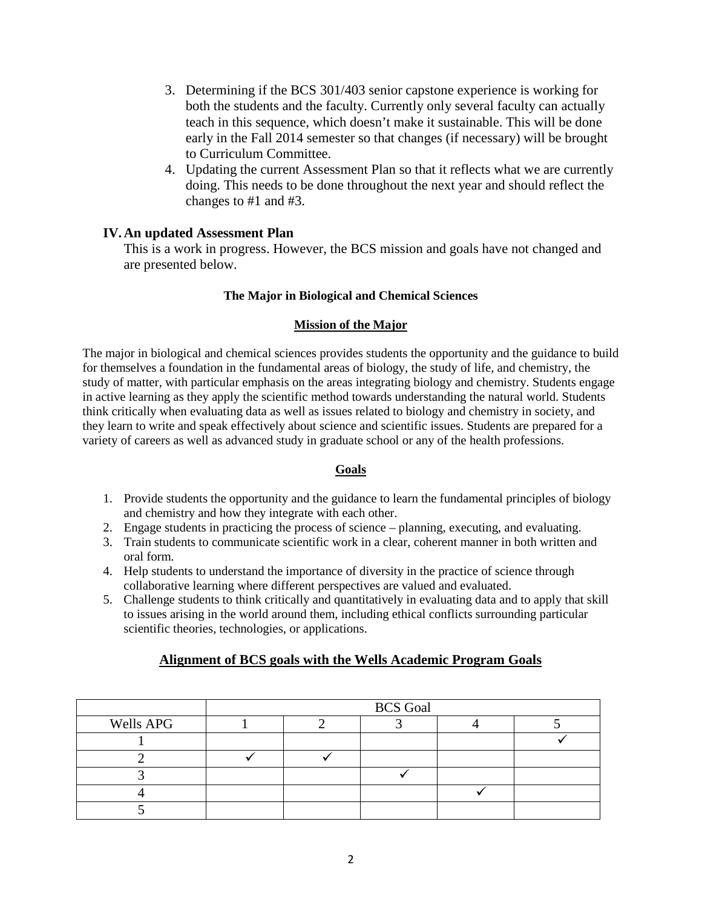- 3. Determining if the BCS 301/403 senior capstone experience is working for both the students and the faculty. Currently only several faculty can actually teach in this sequence, which doesn't make it sustainable. This will be done early in the Fall 2014 semester so that changes (if necessary) will be brought to Curriculum Committee.
- 4. Updating the current Assessment Plan so that it reflects what we are currently doing. This needs to be done throughout the next year and should reflect the changes to #1 and #3.

# **IV.An updated Assessment Plan**

This is a work in progress. However, the BCS mission and goals have not changed and are presented below.

## **The Major in Biological and Chemical Sciences**

### **Mission of the Major**

The major in biological and chemical sciences provides students the opportunity and the guidance to build for themselves a foundation in the fundamental areas of biology, the study of life, and chemistry, the study of matter, with particular emphasis on the areas integrating biology and chemistry. Students engage in active learning as they apply the scientific method towards understanding the natural world. Students think critically when evaluating data as well as issues related to biology and chemistry in society, and they learn to write and speak effectively about science and scientific issues. Students are prepared for a variety of careers as well as advanced study in graduate school or any of the health professions.

### **Goals**

- 1. Provide students the opportunity and the guidance to learn the fundamental principles of biology and chemistry and how they integrate with each other.
- 2. Engage students in practicing the process of science planning, executing, and evaluating.
- 3. Train students to communicate scientific work in a clear, coherent manner in both written and oral form.
- 4. Help students to understand the importance of diversity in the practice of science through collaborative learning where different perspectives are valued and evaluated.
- 5. Challenge students to think critically and quantitatively in evaluating data and to apply that skill to issues arising in the world around them, including ethical conflicts surrounding particular scientific theories, technologies, or applications.

# **Alignment of BCS goals with the Wells Academic Program Goals**

|                  | <b>BCS</b> Goal |  |  |  |  |  |  |  |
|------------------|-----------------|--|--|--|--|--|--|--|
| <b>Wells APG</b> |                 |  |  |  |  |  |  |  |
|                  |                 |  |  |  |  |  |  |  |
|                  |                 |  |  |  |  |  |  |  |
|                  |                 |  |  |  |  |  |  |  |
|                  |                 |  |  |  |  |  |  |  |
|                  |                 |  |  |  |  |  |  |  |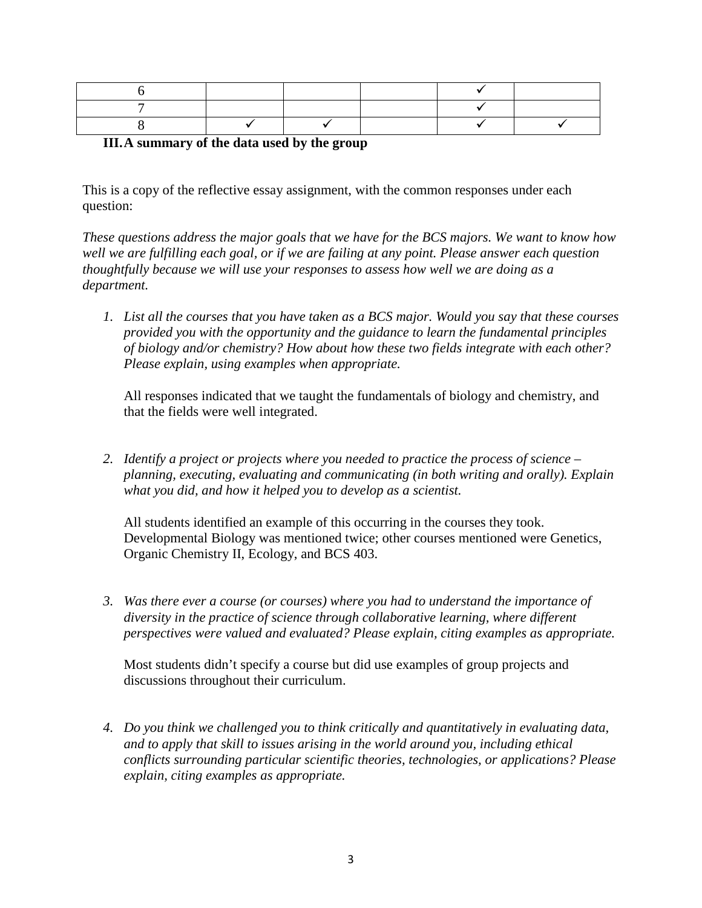# **III.A summary of the data used by the group**

This is a copy of the reflective essay assignment, with the common responses under each question:

*These questions address the major goals that we have for the BCS majors. We want to know how well we are fulfilling each goal, or if we are failing at any point. Please answer each question thoughtfully because we will use your responses to assess how well we are doing as a department.*

*1. List all the courses that you have taken as a BCS major. Would you say that these courses provided you with the opportunity and the guidance to learn the fundamental principles of biology and/or chemistry? How about how these two fields integrate with each other? Please explain, using examples when appropriate.* 

All responses indicated that we taught the fundamentals of biology and chemistry, and that the fields were well integrated.

*2. Identify a project or projects where you needed to practice the process of science – planning, executing, evaluating and communicating (in both writing and orally). Explain what you did, and how it helped you to develop as a scientist.*

All students identified an example of this occurring in the courses they took. Developmental Biology was mentioned twice; other courses mentioned were Genetics, Organic Chemistry II, Ecology, and BCS 403.

*3. Was there ever a course (or courses) where you had to understand the importance of diversity in the practice of science through collaborative learning, where different perspectives were valued and evaluated? Please explain, citing examples as appropriate.*

Most students didn't specify a course but did use examples of group projects and discussions throughout their curriculum.

*4. Do you think we challenged you to think critically and quantitatively in evaluating data, and to apply that skill to issues arising in the world around you, including ethical conflicts surrounding particular scientific theories, technologies, or applications? Please explain, citing examples as appropriate.*